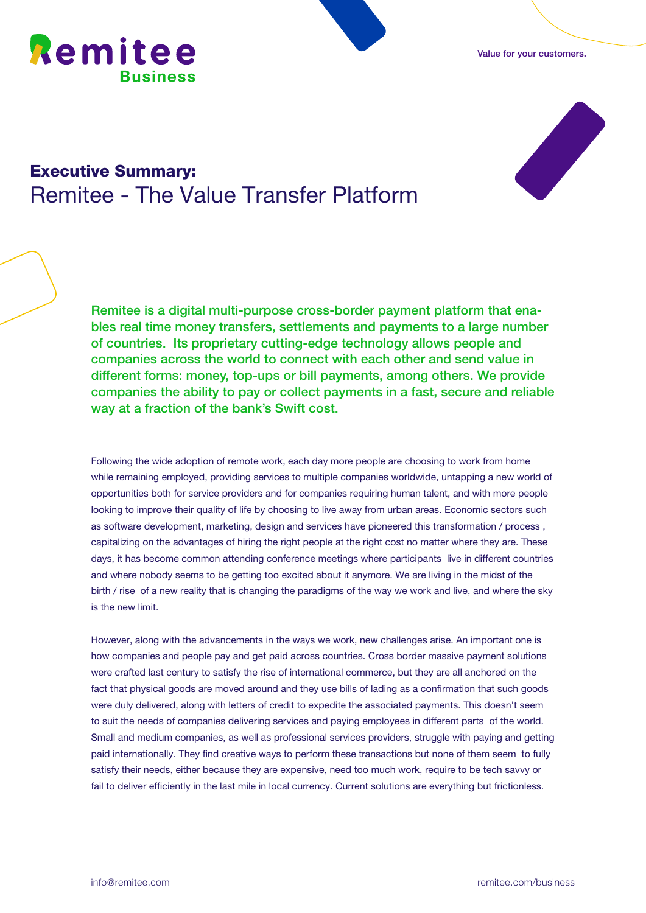





## Executive Summary: Remitee - The Value Transfer Platform

Remitee is a digital multi-purpose cross-border payment platform that enables real time money transfers, settlements and payments to a large number of countries. Its proprietary cutting-edge technology allows people and companies across the world to connect with each other and send value in different forms: money, top-ups or bill payments, among others. We provide companies the ability to pay or collect payments in a fast, secure and reliable way at a fraction of the bank's Swift cost.

Following the wide adoption of remote work, each day more people are choosing to work from home while remaining employed, providing services to multiple companies worldwide, untapping a new world of opportunities both for service providers and for companies requiring human talent, and with more people looking to improve their quality of life by choosing to live away from urban areas. Economic sectors such as software development, marketing, design and services have pioneered this transformation / process , capitalizing on the advantages of hiring the right people at the right cost no matter where they are. These days, it has become common attending conference meetings where participants live in different countries and where nobody seems to be getting too excited about it anymore. We are living in the midst of the birth / rise of a new reality that is changing the paradigms of the way we work and live, and where the sky is the new limit.

However, along with the advancements in the ways we work, new challenges arise. An important one is how companies and people pay and get paid across countries. Cross border massive payment solutions were crafted last century to satisfy the rise of international commerce, but they are all anchored on the fact that physical goods are moved around and they use bills of lading as a confirmation that such goods were duly delivered, along with letters of credit to expedite the associated payments. This doesn't seem to suit the needs of companies delivering services and paying employees in different parts of the world. Small and medium companies, as well as professional services providers, struggle with paying and getting paid internationally. They find creative ways to perform these transactions but none of them seem to fully satisfy their needs, either because they are expensive, need too much work, require to be tech savvy or fail to deliver efficiently in the last mile in local currency. Current solutions are everything but frictionless.